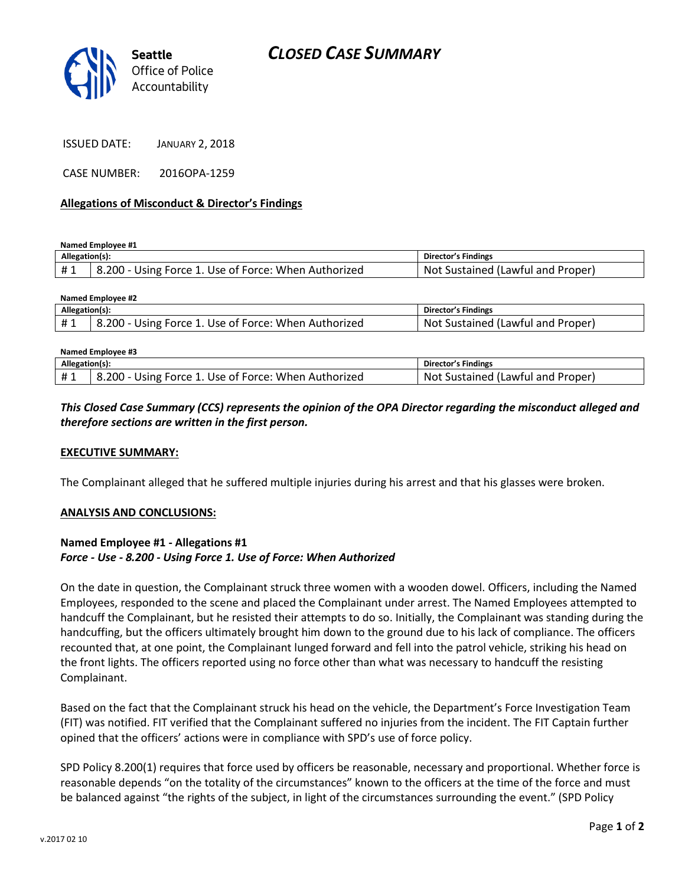

| <b>JANUARY 2, 2018</b> |
|------------------------|
|                        |

CASE NUMBER: 2016OPA-1259

#### **Allegations of Misconduct & Director's Findings**

**Named Employee #1**

| Allegation(s): |                                                      | Director's Findings               |
|----------------|------------------------------------------------------|-----------------------------------|
|                | 3.200 - Using Force 1. Use of Force: When Authorized | Not Sustained (Lawful and Proper) |

| Named Employee #2 |                                                      |                                   |  |  |
|-------------------|------------------------------------------------------|-----------------------------------|--|--|
| Allegation(s):    |                                                      | Director's Findings               |  |  |
| #1                | 8.200 - Using Force 1. Use of Force: When Authorized | Not Sustained (Lawful and Proper) |  |  |
|                   |                                                      |                                   |  |  |

| Named Employee #3 |                                                      |                                   |  |  |
|-------------------|------------------------------------------------------|-----------------------------------|--|--|
| Allegation(s):    |                                                      | Director's Findings               |  |  |
| #1                | 8.200 - Using Force 1. Use of Force: When Authorized | Not Sustained (Lawful and Proper) |  |  |

## *This Closed Case Summary (CCS) represents the opinion of the OPA Director regarding the misconduct alleged and therefore sections are written in the first person.*

### **EXECUTIVE SUMMARY:**

The Complainant alleged that he suffered multiple injuries during his arrest and that his glasses were broken.

#### **ANALYSIS AND CONCLUSIONS:**

### **Named Employee #1 - Allegations #1** *Force - Use - 8.200 - Using Force 1. Use of Force: When Authorized*

On the date in question, the Complainant struck three women with a wooden dowel. Officers, including the Named Employees, responded to the scene and placed the Complainant under arrest. The Named Employees attempted to handcuff the Complainant, but he resisted their attempts to do so. Initially, the Complainant was standing during the handcuffing, but the officers ultimately brought him down to the ground due to his lack of compliance. The officers recounted that, at one point, the Complainant lunged forward and fell into the patrol vehicle, striking his head on the front lights. The officers reported using no force other than what was necessary to handcuff the resisting Complainant.

Based on the fact that the Complainant struck his head on the vehicle, the Department's Force Investigation Team (FIT) was notified. FIT verified that the Complainant suffered no injuries from the incident. The FIT Captain further opined that the officers' actions were in compliance with SPD's use of force policy.

SPD Policy 8.200(1) requires that force used by officers be reasonable, necessary and proportional. Whether force is reasonable depends "on the totality of the circumstances" known to the officers at the time of the force and must be balanced against "the rights of the subject, in light of the circumstances surrounding the event." (SPD Policy